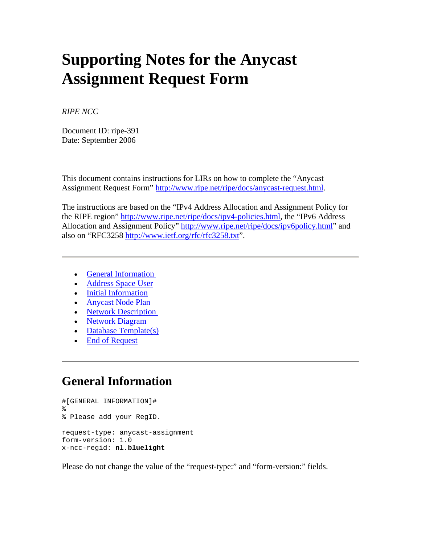# **Supporting Notes for the Anycast Assignment Request Form**

*RIPE NCC* 

Document ID: ripe-391 Date: September 2006

This document contains instructions for LIRs on how to complete the "Anycast Assignment Request Form" [http://www.ripe.net/ripe/docs/anycast-request.html.](http://www.ripe.net/ripe/docs/anycast-request.html)

The instructions are based on the "IPv4 Address Allocation and Assignment Policy for the RIPE region" [http://www.ripe.net/ripe/docs/ipv4-policies.html,](http://www.ripe.net/ripe/docs/ipv4-policies.html) the "IPv6 Address Allocation and Assignment Policy"<http://www.ripe.net/ripe/docs/ipv6policy.html>" and also on "RFC3258<http://www.ietf.org/rfc/rfc3258.txt>".

- [General Information](http://test-www.ripe.net/ripe/docs/ripe-391.html#general)
- [Address Space User](http://test-www.ripe.net/ripe/docs/ripe-391.html#user)
- [Initial Information](http://test-www.ripe.net/ripe/docs/ripe-391.html#information)
- [Anycast Node Plan](http://test-www.ripe.net/ripe/docs/ripe-391.html#plan)
- Network Description
- [Network Diagram](http://test-www.ripe.net/ripe/docs/ripe-391.html#diagram)
- Database Template(s)
- End of Request

#### **General Information**

```
#[GENERAL INFORMATION]# 
\approx% Please add your RegID. 
request-type: anycast-assignment 
form-version: 1.0 
x-ncc-regid: nl.bluelight
```
Please do not change the value of the "request-type:" and "form-version:" fields.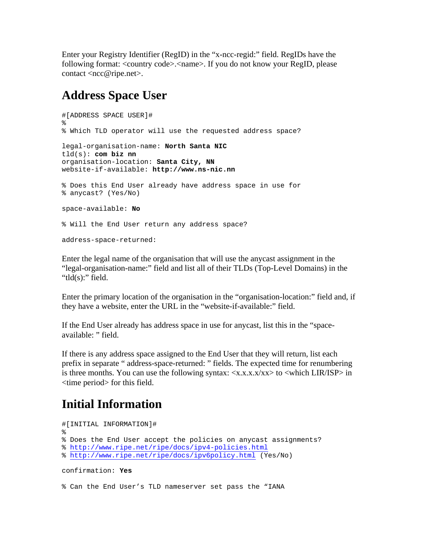Enter your Registry Identifier (RegID) in the "x-ncc-regid:" field. RegIDs have the following format: <country code>.<name>. If you do not know your RegID, please contact <ncc@ripe.net>.

## **Address Space User**

```
#[ADDRESS SPACE USER]# 
% 
% Which TLD operator will use the requested address space? 
legal-organisation-name: North Santa NIC
tld(s): com biz nn
organisation-location: Santa City, NN
website-if-available: http://www.ns-nic.nn
% Does this End User already have address space in use for 
% anycast? (Yes/No) 
space-available: No
% Will the End User return any address space? 
address-space-returned:
```
Enter the legal name of the organisation that will use the anycast assignment in the "legal-organisation-name:" field and list all of their TLDs (Top-Level Domains) in the "tld $(s)$ :" field.

Enter the primary location of the organisation in the "organisation-location:" field and, if they have a website, enter the URL in the "website-if-available:" field.

If the End User already has address space in use for anycast, list this in the "spaceavailable: " field.

If there is any address space assigned to the End User that they will return, list each prefix in separate " address-space-returned: " fields. The expected time for renumbering is three months. You can use the following syntax:  $\langle x.x.x.x/xx \rangle$  to  $\langle$ which LIR/ISP $\rangle$  in <time period> for this field.

# **Initial Information**

```
#[INITIAL INFORMATION]# 
% 
% Does the End User accept the policies on anycast assignments? 
% http://www.ripe.net/ripe/docs/ipv4-policies.html
% http://www.ripe.net/ripe/docs/ipv6policy.html (Yes/No) 
confirmation: Yes
```
% Can the End User's TLD nameserver set pass the "IANA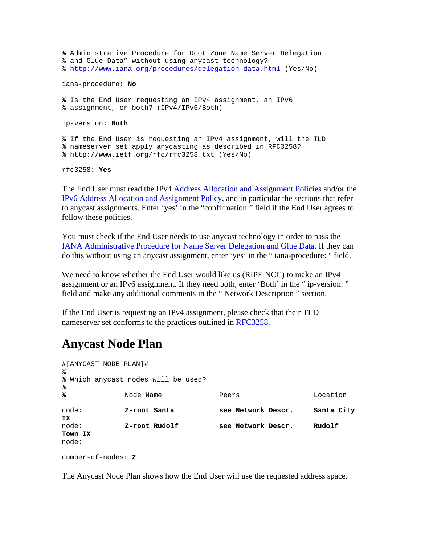% Administrative Procedure for Root Zone Name Server Delegation % and Glue Data" without using anycast technology? %<http://www.iana.org/procedures/delegation-data.html> (Yes/No) iana-procedure: **No** % Is the End User requesting an IPv4 assignment, an IPv6 % assignment, or both? (IPv4/IPv6/Both) ip-version: **Both** % If the End User is requesting an IPv4 assignment, will the TLD % nameserver set apply anycasting as described in RFC3258? % http://www.ietf.org/rfc/rfc3258.txt (Yes/No) rfc3258: **Yes**

The End User must read the IPv4 [Address Allocation and Assignment Policies](http://www.ripe.net/ripe/docs/ipv4-policies.html) and/or the [IPv6 Address Allocation and Assignment Policy,](http://www.ripe.net/ripe/docs/ipv6-policy.html) and in particular the sections that refer to anycast assignments. Enter 'yes' in the "confirmation:" field if the End User agrees to follow these policies.

You must check if the End User needs to use anycast technology in order to pass the [IANA Administrative Procedure for Name Server Delegation and Glue Data.](http://www.iana.org/procedures/delegation-data.html) If they can do this without using an anycast assignment, enter 'yes' in the " iana-procedure: " field.

We need to know whether the End User would like us (RIPE NCC) to make an IPv4 assignment or an IPv6 assignment. If they need both, enter 'Both' in the " ip-version: " field and make any additional comments in the " Network Description " section.

If the End User is requesting an IPv4 assignment, please check that their TLD nameserver set conforms to the practices outlined in [RFC3258](http://www.ietf.org/rfc/rfc3258.txt).

### **Anycast Node Plan**

| #[ANYCAST NODE PLAN]#<br>⊱ |                                     |                    |            |
|----------------------------|-------------------------------------|--------------------|------------|
| ⊱                          | % Which anycast nodes will be used? |                    |            |
| ∻                          | Node Name                           | Peers              | Location   |
| node:<br>ΙX.               | Z-root Santa                        | see Network Descr. | Santa City |
| node:<br>Town IX<br>node:  | Z-root Rudolf                       | see Network Descr. | Rudolf     |

number-of-nodes: **2**

The Anycast Node Plan shows how the End User will use the requested address space.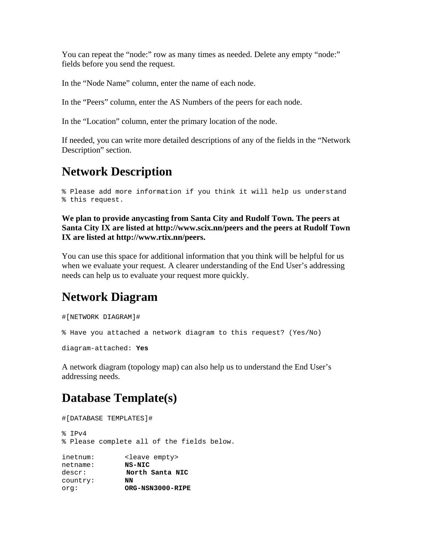You can repeat the "node:" row as many times as needed. Delete any empty "node:" fields before you send the request.

In the "Node Name" column, enter the name of each node.

In the "Peers" column, enter the AS Numbers of the peers for each node.

In the "Location" column, enter the primary location of the node.

If needed, you can write more detailed descriptions of any of the fields in the "Network Description" section.

#### **Network Description**

```
% Please add more information if you think it will help us understand 
% this request.
```
**We plan to provide anycasting from Santa City and Rudolf Town. The peers at Santa City IX are listed at http://www.scix.nn/peers and the peers at Rudolf Town IX are listed at http://www.rtix.nn/peers.**

You can use this space for additional information that you think will be helpful for us when we evaluate your request. A clearer understanding of the End User's addressing needs can help us to evaluate your request more quickly.

### **Network Diagram**

#[NETWORK DIAGRAM]#

% Have you attached a network diagram to this request? (Yes/No)

diagram-attached: **Yes**

A network diagram (topology map) can also help us to understand the End User's addressing needs.

### **Database Template(s)**

```
#[DATABASE TEMPLATES]# 
% IPv4 
% Please complete all of the fields below. 
inetnum: <leave empty><br>netname: <br> NS-NIC
netname:descr: North Santa NIC<br>country: NN
country:
org: ORG-NSN3000-RIPE
```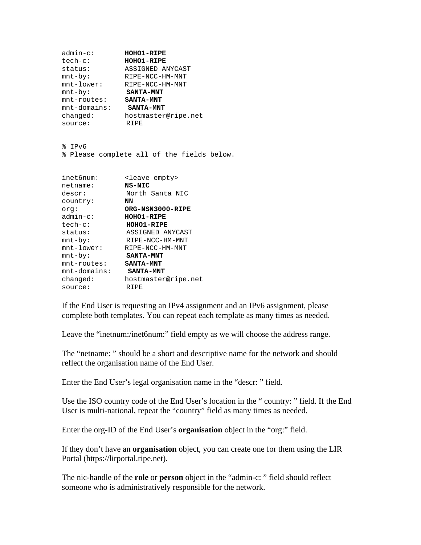```
admin-c: HOHO1-RIPE
tech-c: HOHO1-RIPE
status: ASSIGNED ANYCAST 
mnt-by: RIPE-NCC-HM-MNT 
mnt-lower: RIPE-NCC-HM-MNT 
mnt-by: SANTA-MNT
mnt-routes: SANTA-MNT
mnt-domains: SANTA-MNT
changed: hostmaster@ripe.net 
source: RIPE
```
% IPv6

% Please complete all of the fields below.

| inet6num:     | <leave empty=""></leave> |
|---------------|--------------------------|
| netname:      | <b>NS-NIC</b>            |
| descr:        | North Santa NIC          |
| country:      | NN                       |
| orq:          | ORG-NSN3000-RIPE         |
| $admin-c$ :   | <b>HOHO1-RIPE</b>        |
| $tech-c$ :    | <b>HOHO1-RIPE</b>        |
| status:       | ASSIGNED ANYCAST         |
| $mnt-by$ :    | RIPE-NCC-HM-MNT          |
| $mnt-lower$ : | RIPE-NCC-HM-MNT          |
| $mnt-by$ :    | <b>SANTA-MNT</b>         |
| mnt-routes:   | <b>SANTA-MNT</b>         |
| mnt-domains:  | <b>SANTA-MNT</b>         |
| changed:      | hostmaster@ripe.net      |
| source:       | RIPE                     |

If the End User is requesting an IPv4 assignment and an IPv6 assignment, please complete both templates. You can repeat each template as many times as needed.

Leave the "inetnum:/inet6num:" field empty as we will choose the address range.

The "netname: " should be a short and descriptive name for the network and should reflect the organisation name of the End User.

Enter the End User's legal organisation name in the "descr: " field.

Use the ISO country code of the End User's location in the " country: " field. If the End User is multi-national, repeat the "country" field as many times as needed.

Enter the org-ID of the End User's **organisation** object in the "org:" field.

If they don't have an **organisation** object, you can create one for them using the LIR Portal (https://lirportal.ripe.net).

The nic-handle of the **role** or **person** object in the "admin-c: " field should reflect someone who is administratively responsible for the network.